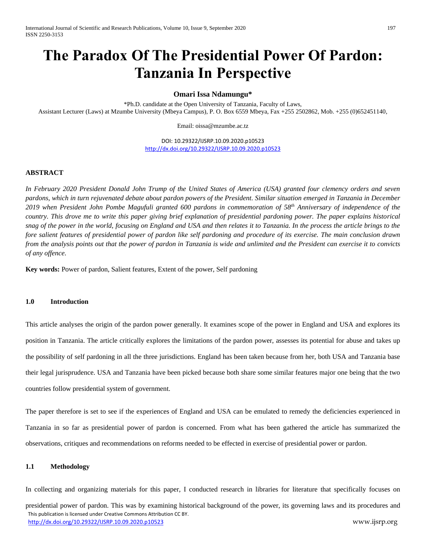# **The Paradox Of The Presidential Power Of Pardon: Tanzania In Perspective**

## **Omari Issa Ndamungu\***

\*Ph.D. candidate at the Open University of Tanzania, Faculty of Laws, Assistant Lecturer (Laws) at Mzumbe University (Mbeya Campus), P. O. Box 6559 Mbeya, Fax +255 2502862, Mob. +255 (0)652451140,

Email: oissa@mzumbe.ac.tz

DOI: 10.29322/IJSRP.10.09.2020.p10523 <http://dx.doi.org/10.29322/IJSRP.10.09.2020.p10523>

## **ABSTRACT**

*In February 2020 President Donald John Trump of the United States of America (USA) granted four clemency orders and seven pardons, which in turn rejuvenated debate about pardon powers of the President. Similar situation emerged in Tanzania in December 2019 when President John Pombe Magufuli granted 600 pardons in commemoration of 58th Anniversary of independence of the*  country. This drove me to write this paper giving brief explanation of presidential pardoning power. The paper explains historical *snag of the power in the world, focusing on England and USA and then relates it to Tanzania. In the process the article brings to the fore salient features of presidential power of pardon like self pardoning and procedure of its exercise. The main conclusion drawn from the analysis points out that the power of pardon in Tanzania is wide and unlimited and the President can exercise it to convicts of any offence*.

**Key words:** Power of pardon, Salient features, Extent of the power, Self pardoning

# **1.0 Introduction**

This article analyses the origin of the pardon power generally. It examines scope of the power in England and USA and explores its position in Tanzania. The article critically explores the limitations of the pardon power, assesses its potential for abuse and takes up the possibility of self pardoning in all the three jurisdictions. England has been taken because from her, both USA and Tanzania base their legal jurisprudence. USA and Tanzania have been picked because both share some similar features major one being that the two countries follow presidential system of government.

The paper therefore is set to see if the experiences of England and USA can be emulated to remedy the deficiencies experienced in Tanzania in so far as presidential power of pardon is concerned. From what has been gathered the article has summarized the observations, critiques and recommendations on reforms needed to be effected in exercise of presidential power or pardon.

## **1.1 Methodology**

 This publication is licensed under Creative Commons Attribution CC BY. <http://dx.doi.org/10.29322/IJSRP.10.09.2020.p10523> www.ijsrp.org In collecting and organizing materials for this paper, I conducted research in libraries for literature that specifically focuses on presidential power of pardon. This was by examining historical background of the power, its governing laws and its procedures and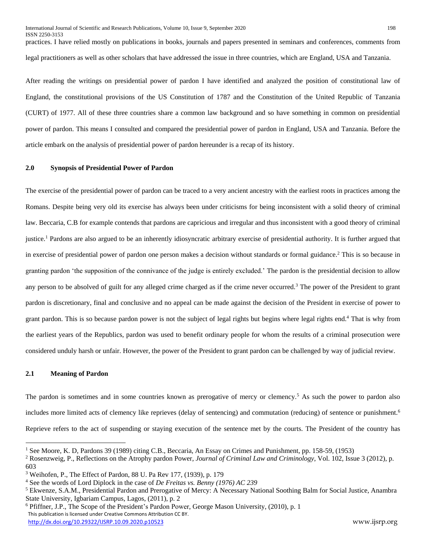ISSN 2250-3153 practices. I have relied mostly on publications in books, journals and papers presented in seminars and conferences, comments from legal practitioners as well as other scholars that have addressed the issue in three countries, which are England, USA and Tanzania.

After reading the writings on presidential power of pardon I have identified and analyzed the position of constitutional law of England, the constitutional provisions of the US Constitution of 1787 and the Constitution of the United Republic of Tanzania (CURT) of 1977. All of these three countries share a common law background and so have something in common on presidential power of pardon. This means I consulted and compared the presidential power of pardon in England, USA and Tanzania. Before the article embark on the analysis of presidential power of pardon hereunder is a recap of its history.

## **2.0 Synopsis of Presidential Power of Pardon**

The exercise of the presidential power of pardon can be traced to a very ancient ancestry with the earliest roots in practices among the Romans. Despite being very old its exercise has always been under criticisms for being inconsistent with a solid theory of criminal law. Beccaria, C.B for example contends that pardons are capricious and irregular and thus inconsistent with a good theory of criminal justice.<sup>1</sup> Pardons are also argued to be an inherently idiosyncratic arbitrary exercise of presidential authority. It is further argued that in exercise of presidential power of pardon one person makes a decision without standards or formal guidance.<sup>2</sup> This is so because in granting pardon 'the supposition of the connivance of the judge is entirely excluded.' The pardon is the presidential decision to allow any person to be absolved of guilt for any alleged crime charged as if the crime never occurred.<sup>3</sup> The power of the President to grant pardon is discretionary, final and conclusive and no appeal can be made against the decision of the President in exercise of power to grant pardon. This is so because pardon power is not the subject of legal rights but begins where legal rights end.<sup>4</sup> That is why from the earliest years of the Republics, pardon was used to benefit ordinary people for whom the results of a criminal prosecution were considered unduly harsh or unfair. However, the power of the President to grant pardon can be challenged by way of judicial review.

## **2.1 Meaning of Pardon**

 $\overline{a}$ 

The pardon is sometimes and in some countries known as prerogative of mercy or clemency.<sup>5</sup> As such the power to pardon also includes more limited acts of clemency like reprieves (delay of sentencing) and commutation (reducing) of sentence or punishment.<sup>6</sup> Reprieve refers to the act of suspending or staying execution of the sentence met by the courts. The President of the country has

<sup>1</sup> See Moore, K. D, Pardons 39 (1989) citing C.B., Beccaria, An Essay on Crimes and Punishment, pp. 158-59, (1953)

<sup>2</sup> Rosenzweig, P., Reflections on the Atrophy pardon Power, *Journal of Criminal Law and Criminology*, Vol. 102, Issue 3 (2012), p. 603

<sup>3</sup> Weihofen, P., The Effect of Pardon, 88 U. Pa Rev 177, (1939), p. 179

<sup>4</sup> See the words of Lord Diplock in the case of *De Freitas vs. Benny (1976) AC 239*

<sup>&</sup>lt;sup>5</sup> Ekwenze, S.A.M., Presidential Pardon and Prerogative of Mercy: A Necessary National Soothing Balm for Social Justice, Anambra State University, Igbariam Campus, Lagos, (2011), p. 2

This publication is licensed under Creative Commons Attribution CC BY. <http://dx.doi.org/10.29322/IJSRP.10.09.2020.p10523> www.ijsrp.org <sup>6</sup> Pfiffner, J.P., The Scope of the President's Pardon Power, George Mason University, (2010), p. 1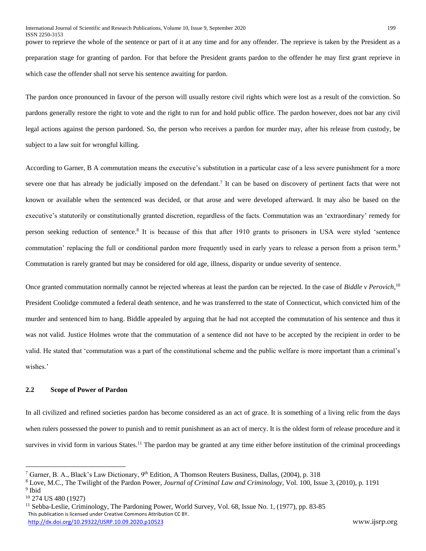power to reprieve the whole of the sentence or part of it at any time and for any offender. The reprieve is taken by the President as a preparation stage for granting of pardon. For that before the President grants pardon to the offender he may first grant reprieve in which case the offender shall not serve his sentence awaiting for pardon.

The pardon once pronounced in favour of the person will usually restore civil rights which were lost as a result of the conviction. So pardons generally restore the right to vote and the right to run for and hold public office. The pardon however, does not bar any civil legal actions against the person pardoned. So, the person who receives a pardon for murder may, after his release from custody, be subject to a law suit for wrongful killing.

According to Garner, B A commutation means the executive's substitution in a particular case of a less severe punishment for a more severe one that has already be judicially imposed on the defendant.<sup>7</sup> It can be based on discovery of pertinent facts that were not known or available when the sentenced was decided, or that arose and were developed afterward. It may also be based on the executive's statutorily or constitutionally granted discretion, regardless of the facts. Commutation was an 'extraordinary' remedy for person seeking reduction of sentence.<sup>8</sup> It is because of this that after 1910 grants to prisoners in USA were styled 'sentence commutation' replacing the full or conditional pardon more frequently used in early years to release a person from a prison term.<sup>9</sup> Commutation is rarely granted but may be considered for old age, illness, disparity or undue severity of sentence.

Once granted commutation normally cannot be rejected whereas at least the pardon can be rejected. In the case of *Biddle v Perovich*,<sup>10</sup> President Coolidge commuted a federal death sentence, and he was transferred to the state of Connecticut, which convicted him of the murder and sentenced him to hang. Biddle appealed by arguing that he had not accepted the commutation of his sentence and thus it was not valid. Justice Holmes wrote that the commutation of a sentence did not have to be accepted by the recipient in order to be valid. He stated that 'commutation was a part of the constitutional scheme and the public welfare is more important than a criminal's wishes.'

# **2.2 Scope of Power of Pardon**

In all civilized and refined societies pardon has become considered as an act of grace. It is something of a living relic from the days when rulers possessed the power to punish and to remit punishment as an act of mercy. It is the oldest form of release procedure and it survives in vivid form in various States.<sup>11</sup> The pardon may be granted at any time either before institution of the criminal proceedings

<sup>7</sup> Garner, B. A., Black's Law Dictionary, 9th Edition, A Thomson Reuters Business, Dallas, (2004), p. 318

<sup>8</sup> Love, M.C., The Twilight of the Pardon Power, *Journal of Criminal Law and Criminology*, Vol. 100, Issue 3, (2010), p. 1191 <sup>9</sup> Ibid

<sup>10</sup> 274 US 480 (1927)

This publication is licensed under Creative Commons Attribution CC BY. <http://dx.doi.org/10.29322/IJSRP.10.09.2020.p10523> www.ijsrp.org <sup>11</sup> Sebba-Leslie, Criminology, The Pardoning Power, World Survey, Vol. 68, Issue No. 1, (1977), pp. 83-85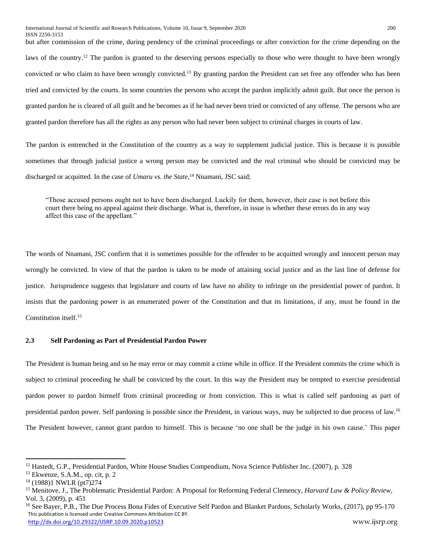but after commission of the crime, during pendency of the criminal proceedings or after conviction for the crime depending on the laws of the country.<sup>12</sup> The pardon is granted to the deserving persons especially to those who were thought to have been wrongly convicted or who claim to have been wrongly convicted.<sup>13</sup> By granting pardon the President can set free any offender who has been tried and convicted by the courts. In some countries the persons who accept the pardon implicitly admit guilt. But once the person is granted pardon he is cleared of all guilt and he becomes as if he had never been tried or convicted of any offense. The persons who are granted pardon therefore has all the rights as any person who had never been subject to criminal charges in courts of law.

The pardon is entrenched in the Constitution of the country as a way to supplement judicial justice. This is because it is possible sometimes that through judicial justice a wrong person may be convicted and the real criminal who should be convicted may be discharged or acquitted. In the case of *Umaru vs. the State*, <sup>14</sup> Nnamani, JSC said;

"Those accused persons ought not to have been discharged. Luckily for them, however, their case is not before this court there being no appeal against their discharge. What is, therefore, in issue is whether these errors do in any way affect this case of the appellant."

The words of Nnamani, JSC confirm that it is sometimes possible for the offender to be acquitted wrongly and innocent person may wrongly be convicted. In view of that the pardon is taken to be mode of attaining social justice and as the last line of defense for justice. Jurisprudence suggests that legislature and courts of law have no ability to infringe on the presidential power of pardon. It insists that the pardoning power is an enumerated power of the Constitution and that its limitations, if any, must be found in the Constitution itself.<sup>15</sup>

## **2.3 Self Pardoning as Part of Presidential Pardon Power**

The President is human being and so he may error or may commit a crime while in office. If the President commits the crime which is subject to criminal proceeding he shall be convicted by the court. In this way the President may be tempted to exercise presidential pardon power to pardon himself from criminal proceeding or from conviction. This is what is called self pardoning as part of presidential pardon power. Self pardoning is possible since the President, in various ways, may be subjected to due process of law.<sup>16</sup> The President however, cannot grant pardon to himself. This is because 'no one shall be the judge in his own cause.' This paper

<sup>&</sup>lt;sup>12</sup> Hastedt, G.P., Presidential Pardon, White House Studies Compendium, Nova Science Publisher Inc. (2007), p. 328

<sup>13</sup> Ekwenze, S.A.M., op. cit, p. 2

<sup>14</sup> (1988)1 NWLR (pt7)274

<sup>15</sup> Menitove, J., The Problematic Presidential Pardon: A Proposal for Reforming Federal Clemency, *Harvard Law & Policy Review,*  Vol. 3, (2009), p. 451

This publication is licensed under Creative Commons Attribution CC BY. <http://dx.doi.org/10.29322/IJSRP.10.09.2020.p10523> www.ijsrp.org <sup>16</sup> See Bayer, P.B., The Due Process Bona Fides of Executive Self Pardon and Blanket Pardons, Scholarly Works, (2017), pp 95-170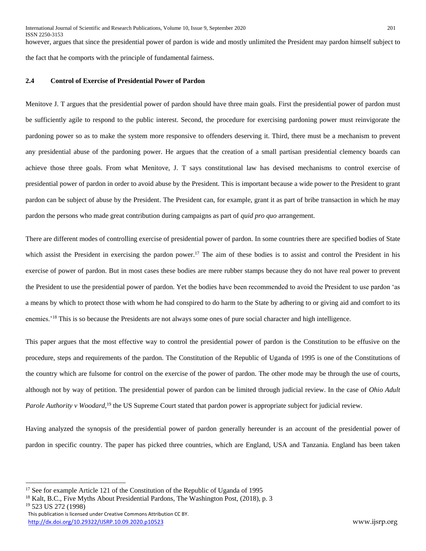however, argues that since the presidential power of pardon is wide and mostly unlimited the President may pardon himself subject to the fact that he comports with the principle of fundamental fairness.

## **2.4 Control of Exercise of Presidential Power of Pardon**

Menitove J. T argues that the presidential power of pardon should have three main goals. First the presidential power of pardon must be sufficiently agile to respond to the public interest. Second, the procedure for exercising pardoning power must reinvigorate the pardoning power so as to make the system more responsive to offenders deserving it. Third, there must be a mechanism to prevent any presidential abuse of the pardoning power. He argues that the creation of a small partisan presidential clemency boards can achieve those three goals. From what Menitove, J. T says constitutional law has devised mechanisms to control exercise of presidential power of pardon in order to avoid abuse by the President. This is important because a wide power to the President to grant pardon can be subject of abuse by the President. The President can, for example, grant it as part of bribe transaction in which he may pardon the persons who made great contribution during campaigns as part of *quid pro quo* arrangement.

There are different modes of controlling exercise of presidential power of pardon. In some countries there are specified bodies of State which assist the President in exercising the pardon power.<sup>17</sup> The aim of these bodies is to assist and control the President in his exercise of power of pardon. But in most cases these bodies are mere rubber stamps because they do not have real power to prevent the President to use the presidential power of pardon. Yet the bodies have been recommended to avoid the President to use pardon 'as a means by which to protect those with whom he had conspired to do harm to the State by adhering to or giving aid and comfort to its enemies.<sup>'18</sup> This is so because the Presidents are not always some ones of pure social character and high intelligence.

This paper argues that the most effective way to control the presidential power of pardon is the Constitution to be effusive on the procedure, steps and requirements of the pardon. The Constitution of the Republic of Uganda of 1995 is one of the Constitutions of the country which are fulsome for control on the exercise of the power of pardon. The other mode may be through the use of courts, although not by way of petition. The presidential power of pardon can be limited through judicial review. In the case of *Ohio Adult*  Parole Authority v Woodard,<sup>19</sup> the US Supreme Court stated that pardon power is appropriate subject for judicial review.

Having analyzed the synopsis of the presidential power of pardon generally hereunder is an account of the presidential power of pardon in specific country. The paper has picked three countries, which are England, USA and Tanzania. England has been taken

<sup>&</sup>lt;sup>17</sup> See for example Article 121 of the Constitution of the Republic of Uganda of 1995

<sup>&</sup>lt;sup>18</sup> Kalt, B.C., Five Myths About Presidential Pardons, The Washington Post, (2018), p. 3 <sup>19</sup> 523 US 272 (1998)

This publication is licensed under Creative Commons Attribution CC BY. <http://dx.doi.org/10.29322/IJSRP.10.09.2020.p10523> www.ijsrp.org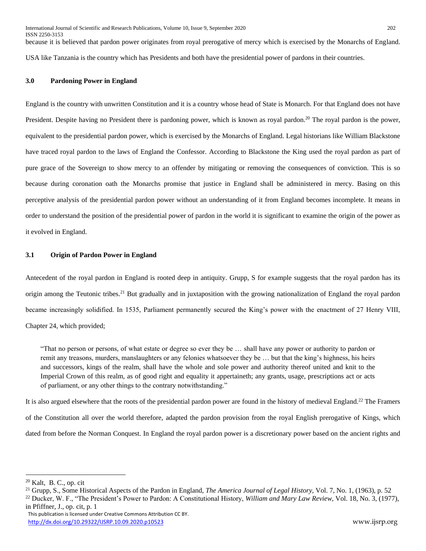ISSN 2250-3153 because it is believed that pardon power originates from royal prerogative of mercy which is exercised by the Monarchs of England. USA like Tanzania is the country which has Presidents and both have the presidential power of pardons in their countries.

## **3.0 Pardoning Power in England**

England is the country with unwritten Constitution and it is a country whose head of State is Monarch. For that England does not have President. Despite having no President there is pardoning power, which is known as royal pardon.<sup>20</sup> The royal pardon is the power, equivalent to the presidential pardon power, which is exercised by the Monarchs of England. Legal historians like William Blackstone have traced royal pardon to the laws of England the Confessor. According to Blackstone the King used the royal pardon as part of pure grace of the Sovereign to show mercy to an offender by mitigating or removing the consequences of conviction. This is so because during coronation oath the Monarchs promise that justice in England shall be administered in mercy. Basing on this perceptive analysis of the presidential pardon power without an understanding of it from England becomes incomplete. It means in order to understand the position of the presidential power of pardon in the world it is significant to examine the origin of the power as it evolved in England.

### **3.1 Origin of Pardon Power in England**

Antecedent of the royal pardon in England is rooted deep in antiquity. Grupp, S for example suggests that the royal pardon has its origin among the Teutonic tribes.<sup>21</sup> But gradually and in juxtaposition with the growing nationalization of England the royal pardon became increasingly solidified. In 1535, Parliament permanently secured the King's power with the enactment of 27 Henry VIII, Chapter 24, which provided;

"That no person or persons, of what estate or degree so ever they be … shall have any power or authority to pardon or remit any treasons, murders, manslaughters or any felonies whatsoever they be … but that the king's highness, his heirs and successors, kings of the realm, shall have the whole and sole power and authority thereof united and knit to the Imperial Crown of this realm, as of good right and equality it appertaineth; any grants, usage, prescriptions act or acts of parliament, or any other things to the contrary notwithstanding."

It is also argued elsewhere that the roots of the presidential pardon power are found in the history of medieval England.<sup>22</sup> The Framers of the Constitution all over the world therefore, adapted the pardon provision from the royal English prerogative of Kings, which dated from before the Norman Conquest. In England the royal pardon power is a discretionary power based on the ancient rights and

<sup>20</sup> Kalt, B. C., op. cit

<sup>21</sup> Grupp, S., Some Historical Aspects of the Pardon in England, *The America Journal of Legal History*, Vol. 7, No. 1, (1963), p. 52

<sup>22</sup> Ducker, W. F., "The President's Power to Pardon: A Constitutional History, *William and Mary Law Review,* Vol. 18, No. 3, (1977), in Pfiffner, J., op. cit, p. 1

This publication is licensed under Creative Commons Attribution CC BY. <http://dx.doi.org/10.29322/IJSRP.10.09.2020.p10523> www.ijsrp.org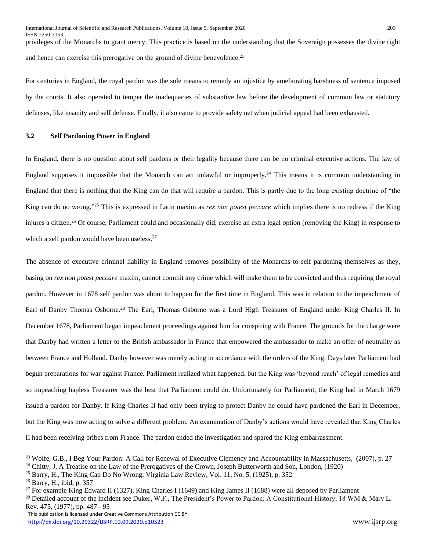privileges of the Monarchs to grant mercy. This practice is based on the understanding that the Sovereign possesses the divine right and hence can exercise this prerogative on the ground of divine benevolence.<sup>23</sup>

For centuries in England, the royal pardon was the sole means to remedy an injustice by ameliorating harshness of sentence imposed by the courts. It also operated to temper the inadequacies of substantive law before the development of common law or statutory defenses, like insanity and self defense. Finally, it also came to provide safety net when judicial appeal had been exhausted.

## **3.2 Self Pardoning Power in England**

In England, there is no question about self pardons or their legality because there can be no criminal executive actions. The law of England supposes it impossible that the Monarch can act unlawful or improperly.<sup>24</sup> This means it is common understanding in England that there is nothing that the King can do that will require a pardon. This is partly due to the long existing doctrine of "the King can do no wrong." <sup>25</sup> This is expressed in Latin maxim as *rex non potest peccare* which implies there is no redress if the King injures a citizen.<sup>26</sup> Of course, Parliament could and occasionally did, exercise an extra legal option (removing the King) in response to which a self pardon would have been useless. $27$ 

The absence of executive criminal liability in England removes possibility of the Monarchs to self pardoning themselves as they, basing on *rex non potest peccare* maxim, cannot commit any crime which will make them to be convicted and thus requiring the royal pardon. However in 1678 self pardon was about to happen for the first time in England. This was in relation to the impeachment of Earl of Danby Thomas Osborne.<sup>28</sup> The Earl, Thomas Osborne was a Lord High Treasurer of England under King Charles II. In December 1678, Parliament began impeachment proceedings against him for conspiring with France. The grounds for the charge were that Danby had written a letter to the British ambassador in France that empowered the ambassador to make an offer of neutrality as between France and Holland. Danby however was merely acting in accordance with the orders of the King. Days later Parliament had begun preparations for war against France. Parliament realized what happened, but the King was 'beyond reach' of legal remedies and so impeaching hapless Treasurer was the best that Parliament could do. Unfortunately for Parliament, the King had in March 1679 issued a pardon for Danby. If King Charles II had only been trying to protect Danby he could have pardoned the Earl in December, but the King was now acting to solve a different problem. An examination of Danby's actions would have revealed that King Charles II had been receiving bribes from France. The pardon ended the investigation and spared the King embarrassment.

<sup>&</sup>lt;sup>23</sup> Wolfe, G.B., I Beg Your Pardon: A Call for Renewal of Executive Clemency and Accountability in Massachusetts, (2007), p. 27

<sup>&</sup>lt;sup>24</sup> Chitty, J, A Treatise on the Law of the Prerogatives of the Crown, Joseph Butterworth and Son, London, (1920)

<sup>25</sup> Barry, H., The King Can Do No Wrong, Virginia Law Review, Vol. 11, No. 5, (1925), p. 352

<sup>26</sup> Barry, H., ibid, p. 357

<sup>&</sup>lt;sup>27</sup> For example King Edward II (1327), King Charles I (1649) and King James II (1688) were all deposed by Parliament

<sup>&</sup>lt;sup>28</sup> Detailed account of the incident see Duker, W.F., The President's Power to Pardon: A Constitutional History, 18 WM & Mary L. Rev. 475, (1977), pp. 487 - 95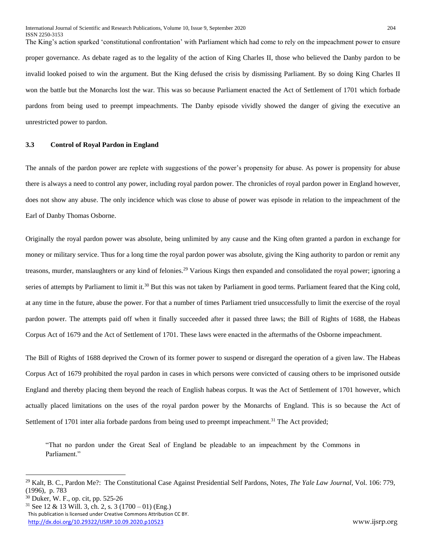The King's action sparked 'constitutional confrontation' with Parliament which had come to rely on the impeachment power to ensure

proper governance. As debate raged as to the legality of the action of King Charles II, those who believed the Danby pardon to be invalid looked poised to win the argument. But the King defused the crisis by dismissing Parliament. By so doing King Charles II won the battle but the Monarchs lost the war. This was so because Parliament enacted the Act of Settlement of 1701 which forbade pardons from being used to preempt impeachments. The Danby episode vividly showed the danger of giving the executive an unrestricted power to pardon.

### **3.3 Control of Royal Pardon in England**

The annals of the pardon power are replete with suggestions of the power's propensity for abuse. As power is propensity for abuse there is always a need to control any power, including royal pardon power. The chronicles of royal pardon power in England however, does not show any abuse. The only incidence which was close to abuse of power was episode in relation to the impeachment of the Earl of Danby Thomas Osborne.

Originally the royal pardon power was absolute, being unlimited by any cause and the King often granted a pardon in exchange for money or military service. Thus for a long time the royal pardon power was absolute, giving the King authority to pardon or remit any treasons, murder, manslaughters or any kind of felonies.<sup>29</sup> Various Kings then expanded and consolidated the royal power; ignoring a series of attempts by Parliament to limit it.<sup>30</sup> But this was not taken by Parliament in good terms. Parliament feared that the King cold, at any time in the future, abuse the power. For that a number of times Parliament tried unsuccessfully to limit the exercise of the royal pardon power. The attempts paid off when it finally succeeded after it passed three laws; the Bill of Rights of 1688, the Habeas Corpus Act of 1679 and the Act of Settlement of 1701. These laws were enacted in the aftermaths of the Osborne impeachment.

The Bill of Rights of 1688 deprived the Crown of its former power to suspend or disregard the operation of a given law. The Habeas Corpus Act of 1679 prohibited the royal pardon in cases in which persons were convicted of causing others to be imprisoned outside England and thereby placing them beyond the reach of English habeas corpus. It was the Act of Settlement of 1701 however, which actually placed limitations on the uses of the royal pardon power by the Monarchs of England. This is so because the Act of Settlement of 1701 inter alia forbade pardons from being used to preempt impeachment.<sup>31</sup> The Act provided;

"That no pardon under the Great Seal of England be pleadable to an impeachment by the Commons in Parliament."

<sup>29</sup> Kalt, B. C., Pardon Me?: The Constitutional Case Against Presidential Self Pardons, Notes, *The Yale Law Journal,* Vol. 106: 779, (1996), p. 783

<sup>30</sup> Duker, W. F., op. cit, pp. 525-26

This publication is licensed under Creative Commons Attribution CC BY. <http://dx.doi.org/10.29322/IJSRP.10.09.2020.p10523> www.ijsrp.org <sup>31</sup> See 12 & 13 Will. 3, ch. 2, s. 3 (1700 – 01) (Eng.)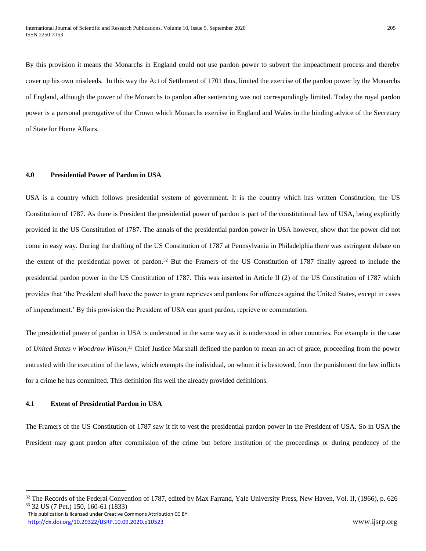By this provision it means the Monarchs in England could not use pardon power to subvert the impeachment process and thereby cover up his own misdeeds. In this way the Act of Settlement of 1701 thus, limited the exercise of the pardon power by the Monarchs of England, although the power of the Monarchs to pardon after sentencing was not correspondingly limited. Today the royal pardon power is a personal prerogative of the Crown which Monarchs exercise in England and Wales in the binding advice of the Secretary of State for Home Affairs.

## **4.0 Presidential Power of Pardon in USA**

USA is a country which follows presidential system of government. It is the country which has written Constitution, the US Constitution of 1787. As there is President the presidential power of pardon is part of the constitutional law of USA, being explicitly provided in the US Constitution of 1787. The annals of the presidential pardon power in USA however, show that the power did not come in easy way. During the drafting of the US Constitution of 1787 at Pennsylvania in Philadelphia there was astringent debate on the extent of the presidential power of pardon.<sup>32</sup> But the Framers of the US Constitution of 1787 finally agreed to include the presidential pardon power in the US Constitution of 1787. This was inserted in Article II (2) of the US Constitution of 1787 which provides that 'the President shall have the power to grant reprieves and pardons for offences against the United States, except in cases of impeachment.' By this provision the President of USA can grant pardon, reprieve or commutation.

The presidential power of pardon in USA is understood in the same way as it is understood in other countries. For example in the case of *United States v Woodrow Wilson,*<sup>33</sup> Chief Justice Marshall defined the pardon to mean an act of grace, proceeding from the power entrusted with the execution of the laws, which exempts the individual, on whom it is bestowed, from the punishment the law inflicts for a crime he has committed. This definition fits well the already provided definitions.

## **4.1 Extent of Presidential Pardon in USA**

 $\ddot{\phantom{a}}$ 

The Framers of the US Constitution of 1787 saw it fit to vest the presidential pardon power in the President of USA. So in USA the President may grant pardon after commission of the crime but before institution of the proceedings or during pendency of the

 This publication is licensed under Creative Commons Attribution CC BY. <http://dx.doi.org/10.29322/IJSRP.10.09.2020.p10523> www.ijsrp.org

<sup>&</sup>lt;sup>32</sup> The Records of the Federal Convention of 1787, edited by Max Farrand, Yale University Press, New Haven, Vol. II, (1966), p. 626 <sup>33</sup> 32 US (7 Pet.) 150, 160-61 (1833)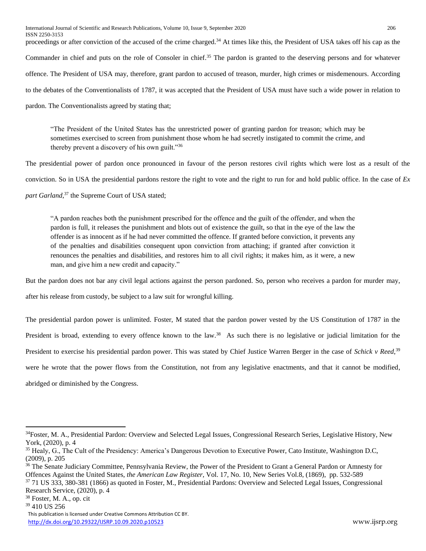International Journal of Scientific and Research Publications, Volume 10, Issue 9, September 2020 206 ISSN 2250-3153

proceedings or after conviction of the accused of the crime charged.<sup>34</sup> At times like this, the President of USA takes off his cap as the

Commander in chief and puts on the role of Consoler in chief.<sup>35</sup> The pardon is granted to the deserving persons and for whatever

offence. The President of USA may, therefore, grant pardon to accused of treason, murder, high crimes or misdemenours. According

to the debates of the Conventionalists of 1787, it was accepted that the President of USA must have such a wide power in relation to

pardon. The Conventionalists agreed by stating that;

"The President of the United States has the unrestricted power of granting pardon for treason; which may be sometimes exercised to screen from punishment those whom he had secretly instigated to commit the crime, and thereby prevent a discovery of his own guilt."<sup>36</sup>

The presidential power of pardon once pronounced in favour of the person restores civil rights which were lost as a result of the conviction. So in USA the presidential pardons restore the right to vote and the right to run for and hold public office. In the case of *Ex*  part Garland,<sup>37</sup> the Supreme Court of USA stated;

"A pardon reaches both the punishment prescribed for the offence and the guilt of the offender, and when the pardon is full, it releases the punishment and blots out of existence the guilt, so that in the eye of the law the offender is as innocent as if he had never committed the offence. If granted before conviction, it prevents any of the penalties and disabilities consequent upon conviction from attaching; if granted after conviction it renounces the penalties and disabilities, and restores him to all civil rights; it makes him, as it were, a new man, and give him a new credit and capacity."

But the pardon does not bar any civil legal actions against the person pardoned. So, person who receives a pardon for murder may,

after his release from custody, be subject to a law suit for wrongful killing.

The presidential pardon power is unlimited. Foster, M stated that the pardon power vested by the US Constitution of 1787 in the President is broad, extending to every offence known to the law.<sup>38</sup> As such there is no legislative or judicial limitation for the President to exercise his presidential pardon power. This was stated by Chief Justice Warren Berger in the case of *Schick v Reed*, 39 were he wrote that the power flows from the Constitution, not from any legislative enactments, and that it cannot be modified, abridged or diminished by the Congress.

<sup>38</sup> Foster, M. A., op. cit

<sup>39</sup> 410 US 256

<sup>&</sup>lt;sup>34</sup>Foster, M. A., Presidential Pardon: Overview and Selected Legal Issues, Congressional Research Series, Legislative History, New York, (2020), p. 4

<sup>&</sup>lt;sup>35</sup> Healy, G., The Cult of the Presidency: America's Dangerous Devotion to Executive Power, Cato Institute, Washington D.C, (2009), p. 205

<sup>&</sup>lt;sup>36</sup> The Senate Judiciary Committee, Pennsylvania Review, the Power of the President to Grant a General Pardon or Amnesty for Offences Against the United States, *the American Law Register*, Vol. 17, No. 10, New Series Vol.8, (1869), pp. 532-589

<sup>37</sup> 71 US 333, 380-381 (1866) as quoted in Foster, M., Presidential Pardons: Overview and Selected Legal Issues, Congressional Research Service, (2020), p. 4

This publication is licensed under Creative Commons Attribution CC BY. <http://dx.doi.org/10.29322/IJSRP.10.09.2020.p10523> www.ijsrp.org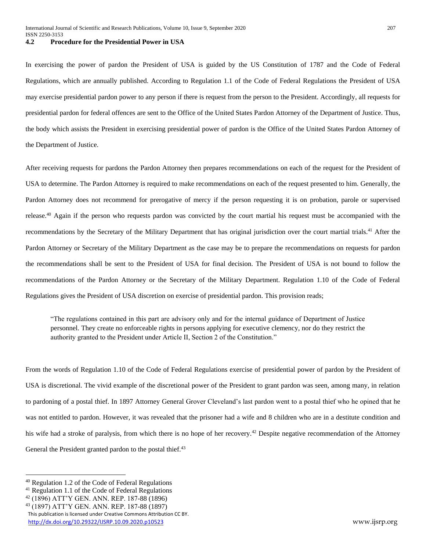In exercising the power of pardon the President of USA is guided by the US Constitution of 1787 and the Code of Federal Regulations, which are annually published. According to Regulation 1.1 of the Code of Federal Regulations the President of USA may exercise presidential pardon power to any person if there is request from the person to the President. Accordingly, all requests for presidential pardon for federal offences are sent to the Office of the United States Pardon Attorney of the Department of Justice. Thus, the body which assists the President in exercising presidential power of pardon is the Office of the United States Pardon Attorney of the Department of Justice.

After receiving requests for pardons the Pardon Attorney then prepares recommendations on each of the request for the President of USA to determine. The Pardon Attorney is required to make recommendations on each of the request presented to him. Generally, the Pardon Attorney does not recommend for prerogative of mercy if the person requesting it is on probation, parole or supervised release.<sup>40</sup> Again if the person who requests pardon was convicted by the court martial his request must be accompanied with the recommendations by the Secretary of the Military Department that has original jurisdiction over the court martial trials.<sup>41</sup> After the Pardon Attorney or Secretary of the Military Department as the case may be to prepare the recommendations on requests for pardon the recommendations shall be sent to the President of USA for final decision. The President of USA is not bound to follow the recommendations of the Pardon Attorney or the Secretary of the Military Department. Regulation 1.10 of the Code of Federal Regulations gives the President of USA discretion on exercise of presidential pardon. This provision reads;

"The regulations contained in this part are advisory only and for the internal guidance of Department of Justice personnel. They create no enforceable rights in persons applying for executive clemency, nor do they restrict the authority granted to the President under Article II, Section 2 of the Constitution."

From the words of Regulation 1.10 of the Code of Federal Regulations exercise of presidential power of pardon by the President of USA is discretional. The vivid example of the discretional power of the President to grant pardon was seen, among many, in relation to pardoning of a postal thief. In 1897 Attorney General Grover Cleveland's last pardon went to a postal thief who he opined that he was not entitled to pardon. However, it was revealed that the prisoner had a wife and 8 children who are in a destitute condition and his wife had a stroke of paralysis, from which there is no hope of her recovery.<sup>42</sup> Despite negative recommendation of the Attorney General the President granted pardon to the postal thief.<sup>43</sup>

<sup>40</sup> Regulation 1.2 of the Code of Federal Regulations

<sup>41</sup> Regulation 1.1 of the Code of Federal Regulations

<sup>42</sup> (1896) ATT'Y GEN. ANN. REP. 187-88 (1896)

<sup>43</sup> (1897) ATT'Y GEN. ANN. REP. 187-88 (1897)

This publication is licensed under Creative Commons Attribution CC BY.

<http://dx.doi.org/10.29322/IJSRP.10.09.2020.p10523> www.ijsrp.org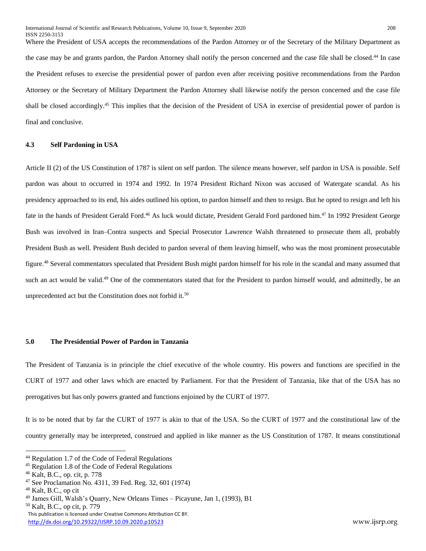Where the President of USA accepts the recommendations of the Pardon Attorney or of the Secretary of the Military Department as the case may be and grants pardon, the Pardon Attorney shall notify the person concerned and the case file shall be closed.<sup>44</sup> In case the President refuses to exercise the presidential power of pardon even after receiving positive recommendations from the Pardon Attorney or the Secretary of Military Department the Pardon Attorney shall likewise notify the person concerned and the case file shall be closed accordingly.<sup>45</sup> This implies that the decision of the President of USA in exercise of presidential power of pardon is final and conclusive.

#### **4.3 Self Pardoning in USA**

Article II (2) of the US Constitution of 1787 is silent on self pardon. The silence means however, self pardon in USA is possible. Self pardon was about to occurred in 1974 and 1992. In 1974 President Richard Nixon was accused of Watergate scandal. As his presidency approached to its end, his aides outlined his option, to pardon himself and then to resign. But he opted to resign and left his fate in the hands of President Gerald Ford.<sup>46</sup> As luck would dictate, President Gerald Ford pardoned him.<sup>47</sup> In 1992 President George Bush was involved in Iran–Contra suspects and Special Prosecutor Lawrence Walsh threatened to prosecute them all, probably President Bush as well. President Bush decided to pardon several of them leaving himself, who was the most prominent prosecutable figure.<sup>48</sup> Several commentators speculated that President Bush might pardon himself for his role in the scandal and many assumed that such an act would be valid.<sup>49</sup> One of the commentators stated that for the President to pardon himself would, and admittedly, be an unprecedented act but the Constitution does not forbid it.<sup>50</sup>

#### **5.0 The Presidential Power of Pardon in Tanzania**

The President of Tanzania is in principle the chief executive of the whole country. His powers and functions are specified in the CURT of 1977 and other laws which are enacted by Parliament. For that the President of Tanzania, like that of the USA has no prerogatives but has only powers granted and functions enjoined by the CURT of 1977.

It is to be noted that by far the CURT of 1977 is akin to that of the USA. So the CURT of 1977 and the constitutional law of the country generally may be interpreted, construed and applied in like manner as the US Constitution of 1787. It means constitutional

<sup>44</sup> Regulation 1.7 of the Code of Federal Regulations

<sup>45</sup> Regulation 1.8 of the Code of Federal Regulations

<sup>46</sup> Kalt, B.C., op. cit, p. 778

<sup>47</sup> See Proclamation No. 4311, 39 Fed. Reg. 32, 601 (1974)

<sup>48</sup> Kalt, B.C., op cit

<sup>49</sup> James Gill, Walsh's Quarry, New Orleans Times – Picayune, Jan 1, (1993), B1

This publication is licensed under Creative Commons Attribution CC BY. <sup>50</sup> Kalt, B.C., op cit, p. 779

<http://dx.doi.org/10.29322/IJSRP.10.09.2020.p10523> www.ijsrp.org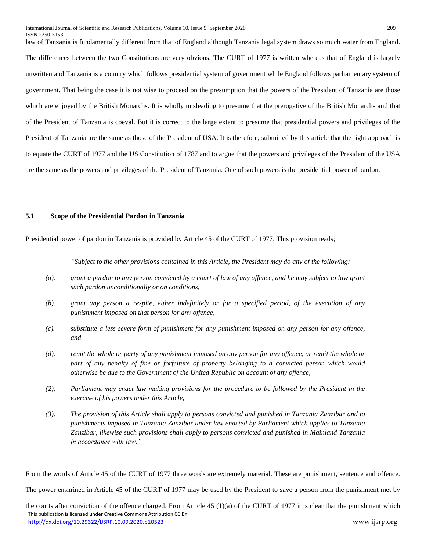law of Tanzania is fundamentally different from that of England although Tanzania legal system draws so much water from England. The differences between the two Constitutions are very obvious. The CURT of 1977 is written whereas that of England is largely unwritten and Tanzania is a country which follows presidential system of government while England follows parliamentary system of government. That being the case it is not wise to proceed on the presumption that the powers of the President of Tanzania are those which are enjoyed by the British Monarchs. It is wholly misleading to presume that the prerogative of the British Monarchs and that of the President of Tanzania is coeval. But it is correct to the large extent to presume that presidential powers and privileges of the President of Tanzania are the same as those of the President of USA. It is therefore, submitted by this article that the right approach is to equate the CURT of 1977 and the US Constitution of 1787 and to argue that the powers and privileges of the President of the USA are the same as the powers and privileges of the President of Tanzania. One of such powers is the presidential power of pardon.

### **5.1 Scope of the Presidential Pardon in Tanzania**

Presidential power of pardon in Tanzania is provided by Article 45 of the CURT of 1977. This provision reads;

*"Subject to the other provisions contained in this Article, the President may do any of the following:*

- *(a). grant a pardon to any person convicted by a court of law of any offence, and he may subject to law grant such pardon unconditionally or on conditions,*
- *(b). grant any person a respite, either indefinitely or for a specified period, of the execution of any punishment imposed on that person for any offence,*
- *(c). substitute a less severe form of punishment for any punishment imposed on any person for any offence, and*
- *(d). remit the whole or party of any punishment imposed on any person for any offence, or remit the whole or part of any penalty of fine or forfeiture of property belonging to a convicted person which would otherwise be due to the Government of the United Republic on account of any offence,*
- *(2). Parliament may enact law making provisions for the procedure to be followed by the President in the exercise of his powers under this Article,*
- *(3). The provision of this Article shall apply to persons convicted and punished in Tanzania Zanzibar and to punishments imposed in Tanzania Zanzibar under law enacted by Parliament which applies to Tanzania Zanzibar, likewise such provisions shall apply to persons convicted and punished in Mainland Tanzania in accordance with law."*

From the words of Article 45 of the CURT of 1977 three words are extremely material. These are punishment, sentence and offence.

The power enshrined in Article 45 of the CURT of 1977 may be used by the President to save a person from the punishment met by

 This publication is licensed under Creative Commons Attribution CC BY. <http://dx.doi.org/10.29322/IJSRP.10.09.2020.p10523> www.ijsrp.org the courts after conviction of the offence charged. From Article 45 (1)(a) of the CURT of 1977 it is clear that the punishment which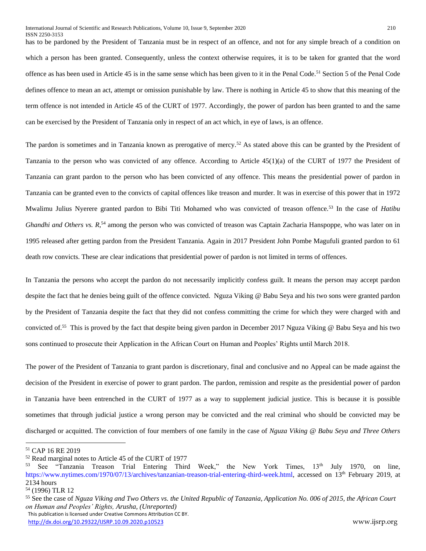has to be pardoned by the President of Tanzania must be in respect of an offence, and not for any simple breach of a condition on which a person has been granted. Consequently, unless the context otherwise requires, it is to be taken for granted that the word offence as has been used in Article 45 is in the same sense which has been given to it in the Penal Code.<sup>51</sup> Section 5 of the Penal Code defines offence to mean an act, attempt or omission punishable by law. There is nothing in Article 45 to show that this meaning of the term offence is not intended in Article 45 of the CURT of 1977. Accordingly, the power of pardon has been granted to and the same can be exercised by the President of Tanzania only in respect of an act which, in eye of laws, is an offence.

The pardon is sometimes and in Tanzania known as prerogative of mercy.<sup>52</sup> As stated above this can be granted by the President of Tanzania to the person who was convicted of any offence. According to Article 45(1)(a) of the CURT of 1977 the President of Tanzania can grant pardon to the person who has been convicted of any offence. This means the presidential power of pardon in Tanzania can be granted even to the convicts of capital offences like treason and murder. It was in exercise of this power that in 1972 Mwalimu Julius Nyerere granted pardon to Bibi Titi Mohamed who was convicted of treason offence.<sup>53</sup> In the case of *Hatibu*  Ghandhi and Others vs. R,<sup>54</sup> among the person who was convicted of treason was Captain Zacharia Hanspoppe, who was later on in 1995 released after getting pardon from the President Tanzania. Again in 2017 President John Pombe Magufuli granted pardon to 61 death row convicts. These are clear indications that presidential power of pardon is not limited in terms of offences.

In Tanzania the persons who accept the pardon do not necessarily implicitly confess guilt. It means the person may accept pardon despite the fact that he denies being guilt of the offence convicted. Nguza Viking @ Babu Seya and his two sons were granted pardon by the President of Tanzania despite the fact that they did not confess committing the crime for which they were charged with and convicted of.<sup>55</sup> This is proved by the fact that despite being given pardon in December 2017 Nguza Viking @ Babu Seya and his two sons continued to prosecute their Application in the African Court on Human and Peoples' Rights until March 2018.

The power of the President of Tanzania to grant pardon is discretionary, final and conclusive and no Appeal can be made against the decision of the President in exercise of power to grant pardon. The pardon, remission and respite as the presidential power of pardon in Tanzania have been entrenched in the CURT of 1977 as a way to supplement judicial justice. This is because it is possible sometimes that through judicial justice a wrong person may be convicted and the real criminal who should be convicted may be discharged or acquitted. The conviction of four members of one family in the case of *Nguza Viking @ Babu Seya and Three Others* 

<sup>51</sup> CAP 16 RE 2019

<sup>52</sup> Read marginal notes to Article 45 of the CURT of 1977

See "Tanzania Treason Trial Entering Third Week," the New York Times, 13th July 1970, on line, [https://www.nytimes.com/1970/07/13/archives/tanzanian-treason-trial-entering-third-week.html,](https://www.nytimes.com/1970/07/13/archives/tanzanian-treason-trial-entering-third-week.html) accessed on 13<sup>th</sup> February 2019, at 2134 hours

<sup>54</sup> (1996) TLR 12

This publication is licensed under Creative Commons Attribution CC BY. <sup>55</sup> See the case of *Nguza Viking and Two Others vs. the United Republic of Tanzania, Application No. 006 of 2015, the African Court on Human and Peoples' Rights, Arusha, (Unreported)*

<http://dx.doi.org/10.29322/IJSRP.10.09.2020.p10523> www.ijsrp.org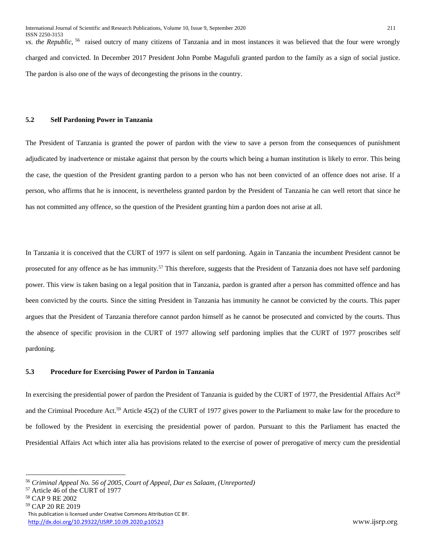*vs. the Republic,* <sup>56</sup> raised outcry of many citizens of Tanzania and in most instances it was believed that the four were wrongly charged and convicted. In December 2017 President John Pombe Magufuli granted pardon to the family as a sign of social justice. The pardon is also one of the ways of decongesting the prisons in the country.

#### **5.2 Self Pardoning Power in Tanzania**

The President of Tanzania is granted the power of pardon with the view to save a person from the consequences of punishment adjudicated by inadvertence or mistake against that person by the courts which being a human institution is likely to error. This being the case, the question of the President granting pardon to a person who has not been convicted of an offence does not arise. If a person, who affirms that he is innocent, is nevertheless granted pardon by the President of Tanzania he can well retort that since he has not committed any offence, so the question of the President granting him a pardon does not arise at all.

In Tanzania it is conceived that the CURT of 1977 is silent on self pardoning. Again in Tanzania the incumbent President cannot be prosecuted for any offence as he has immunity.<sup>57</sup> This therefore, suggests that the President of Tanzania does not have self pardoning power. This view is taken basing on a legal position that in Tanzania, pardon is granted after a person has committed offence and has been convicted by the courts. Since the sitting President in Tanzania has immunity he cannot be convicted by the courts. This paper argues that the President of Tanzania therefore cannot pardon himself as he cannot be prosecuted and convicted by the courts. Thus the absence of specific provision in the CURT of 1977 allowing self pardoning implies that the CURT of 1977 proscribes self pardoning.

## **5.3 Procedure for Exercising Power of Pardon in Tanzania**

In exercising the presidential power of pardon the President of Tanzania is guided by the CURT of 1977, the Presidential Affairs Act<sup>58</sup> and the Criminal Procedure Act.<sup>59</sup> Article 45(2) of the CURT of 1977 gives power to the Parliament to make law for the procedure to be followed by the President in exercising the presidential power of pardon. Pursuant to this the Parliament has enacted the Presidential Affairs Act which inter alia has provisions related to the exercise of power of prerogative of mercy cum the presidential

<sup>56</sup> *Criminal Appeal No. 56 of 2005, Court of Appeal, Dar es Salaam, (Unreported)* 

<sup>57</sup> Article 46 of the CURT of 1977

<sup>58</sup> CAP 9 RE 2002

<sup>59</sup> CAP 20 RE 2019

This publication is licensed under Creative Commons Attribution CC BY. <http://dx.doi.org/10.29322/IJSRP.10.09.2020.p10523> www.ijsrp.org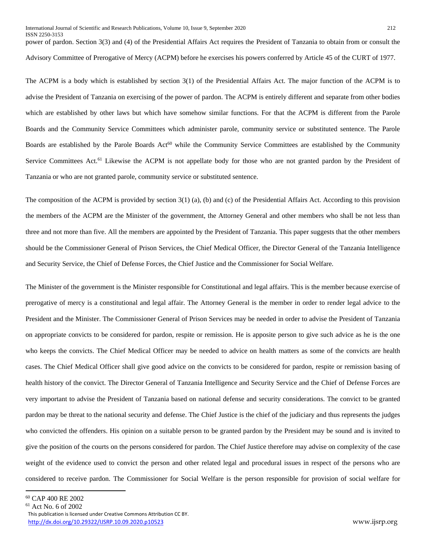ISSN 2250-3153 power of pardon. Section 3(3) and (4) of the Presidential Affairs Act requires the President of Tanzania to obtain from or consult the Advisory Committee of Prerogative of Mercy (ACPM) before he exercises his powers conferred by Article 45 of the CURT of 1977.

The ACPM is a body which is established by section 3(1) of the Presidential Affairs Act. The major function of the ACPM is to advise the President of Tanzania on exercising of the power of pardon. The ACPM is entirely different and separate from other bodies which are established by other laws but which have somehow similar functions. For that the ACPM is different from the Parole Boards and the Community Service Committees which administer parole, community service or substituted sentence. The Parole Boards are established by the Parole Boards Act<sup>60</sup> while the Community Service Committees are established by the Community Service Committees Act.<sup>61</sup> Likewise the ACPM is not appellate body for those who are not granted pardon by the President of Tanzania or who are not granted parole, community service or substituted sentence.

The composition of the ACPM is provided by section 3(1) (a), (b) and (c) of the Presidential Affairs Act. According to this provision the members of the ACPM are the Minister of the government, the Attorney General and other members who shall be not less than three and not more than five. All the members are appointed by the President of Tanzania. This paper suggests that the other members should be the Commissioner General of Prison Services, the Chief Medical Officer, the Director General of the Tanzania Intelligence and Security Service, the Chief of Defense Forces, the Chief Justice and the Commissioner for Social Welfare.

The Minister of the government is the Minister responsible for Constitutional and legal affairs. This is the member because exercise of prerogative of mercy is a constitutional and legal affair. The Attorney General is the member in order to render legal advice to the President and the Minister. The Commissioner General of Prison Services may be needed in order to advise the President of Tanzania on appropriate convicts to be considered for pardon, respite or remission. He is apposite person to give such advice as he is the one who keeps the convicts. The Chief Medical Officer may be needed to advice on health matters as some of the convicts are health cases. The Chief Medical Officer shall give good advice on the convicts to be considered for pardon, respite or remission basing of health history of the convict. The Director General of Tanzania Intelligence and Security Service and the Chief of Defense Forces are very important to advise the President of Tanzania based on national defense and security considerations. The convict to be granted pardon may be threat to the national security and defense. The Chief Justice is the chief of the judiciary and thus represents the judges who convicted the offenders. His opinion on a suitable person to be granted pardon by the President may be sound and is invited to give the position of the courts on the persons considered for pardon. The Chief Justice therefore may advise on complexity of the case weight of the evidence used to convict the person and other related legal and procedural issues in respect of the persons who are considered to receive pardon. The Commissioner for Social Welfare is the person responsible for provision of social welfare for

 $\ddot{\phantom{a}}$ 

<sup>60</sup> CAP 400 RE 2002

 $61$  Act No. 6 of 2002

This publication is licensed under Creative Commons Attribution CC BY. <http://dx.doi.org/10.29322/IJSRP.10.09.2020.p10523> www.ijsrp.org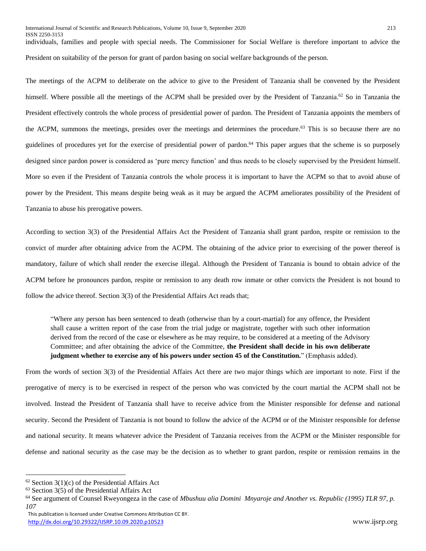individuals, families and people with special needs. The Commissioner for Social Welfare is therefore important to advice the President on suitability of the person for grant of pardon basing on social welfare backgrounds of the person.

The meetings of the ACPM to deliberate on the advice to give to the President of Tanzania shall be convened by the President himself. Where possible all the meetings of the ACPM shall be presided over by the President of Tanzania.<sup>62</sup> So in Tanzania the President effectively controls the whole process of presidential power of pardon. The President of Tanzania appoints the members of the ACPM, summons the meetings, presides over the meetings and determines the procedure.<sup>63</sup> This is so because there are no guidelines of procedures yet for the exercise of presidential power of pardon. <sup>64</sup> This paper argues that the scheme is so purposely designed since pardon power is considered as 'pure mercy function' and thus needs to be closely supervised by the President himself. More so even if the President of Tanzania controls the whole process it is important to have the ACPM so that to avoid abuse of power by the President. This means despite being weak as it may be argued the ACPM ameliorates possibility of the President of Tanzania to abuse his prerogative powers.

According to section 3(3) of the Presidential Affairs Act the President of Tanzania shall grant pardon, respite or remission to the convict of murder after obtaining advice from the ACPM. The obtaining of the advice prior to exercising of the power thereof is mandatory, failure of which shall render the exercise illegal. Although the President of Tanzania is bound to obtain advice of the ACPM before he pronounces pardon, respite or remission to any death row inmate or other convicts the President is not bound to follow the advice thereof. Section 3(3) of the Presidential Affairs Act reads that;

"Where any person has been sentenced to death (otherwise than by a court-martial) for any offence, the President shall cause a written report of the case from the trial judge or magistrate, together with such other information derived from the record of the case or elsewhere as he may require, to be considered at a meeting of the Advisory Committee; and after obtaining the advice of the Committee, **the President shall decide in his own deliberate judgment whether to exercise any of his powers under section 45 of the Constitution.**" (Emphasis added).

From the words of section 3(3) of the Presidential Affairs Act there are two major things which are important to note. First if the prerogative of mercy is to be exercised in respect of the person who was convicted by the court martial the ACPM shall not be involved. Instead the President of Tanzania shall have to receive advice from the Minister responsible for defense and national security. Second the President of Tanzania is not bound to follow the advice of the ACPM or of the Minister responsible for defense and national security. It means whatever advice the President of Tanzania receives from the ACPM or the Minister responsible for defense and national security as the case may be the decision as to whether to grant pardon, respite or remission remains in the

 $62$  Section 3(1)(c) of the Presidential Affairs Act

<sup>63</sup> Section 3(5) of the Presidential Affairs Act

<sup>64</sup> See argument of Counsel Rweyongeza in the case of *Mbushuu alia Domini Mnyaroje and Another vs. Republic (1995) TLR 97, p. 107*

This publication is licensed under Creative Commons Attribution CC BY. <http://dx.doi.org/10.29322/IJSRP.10.09.2020.p10523> www.ijsrp.org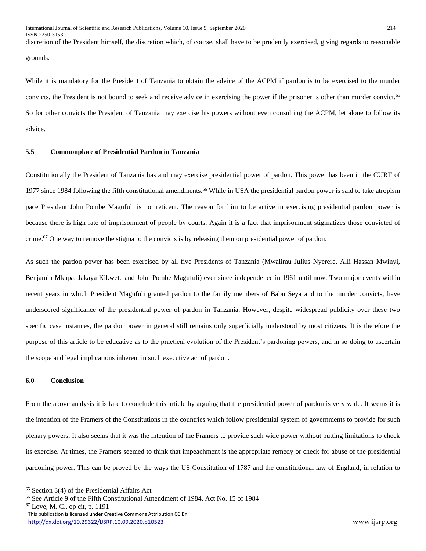discretion of the President himself, the discretion which, of course, shall have to be prudently exercised, giving regards to reasonable grounds.

While it is mandatory for the President of Tanzania to obtain the advice of the ACPM if pardon is to be exercised to the murder convicts, the President is not bound to seek and receive advice in exercising the power if the prisoner is other than murder convict.<sup>65</sup> So for other convicts the President of Tanzania may exercise his powers without even consulting the ACPM, let alone to follow its advice.

## **5.5 Commonplace of Presidential Pardon in Tanzania**

Constitutionally the President of Tanzania has and may exercise presidential power of pardon. This power has been in the CURT of 1977 since 1984 following the fifth constitutional amendments.<sup>66</sup> While in USA the presidential pardon power is said to take atropism pace President John Pombe Magufuli is not reticent. The reason for him to be active in exercising presidential pardon power is because there is high rate of imprisonment of people by courts. Again it is a fact that imprisonment stigmatizes those convicted of crime.<sup>67</sup> One way to remove the stigma to the convicts is by releasing them on presidential power of pardon.

As such the pardon power has been exercised by all five Presidents of Tanzania (Mwalimu Julius Nyerere, Alli Hassan Mwinyi, Benjamin Mkapa, Jakaya Kikwete and John Pombe Magufuli) ever since independence in 1961 until now. Two major events within recent years in which President Magufuli granted pardon to the family members of Babu Seya and to the murder convicts, have underscored significance of the presidential power of pardon in Tanzania. However, despite widespread publicity over these two specific case instances, the pardon power in general still remains only superficially understood by most citizens. It is therefore the purpose of this article to be educative as to the practical evolution of the President's pardoning powers, and in so doing to ascertain the scope and legal implications inherent in such executive act of pardon.

### **6.0 Conclusion**

 $\overline{a}$ 

From the above analysis it is fare to conclude this article by arguing that the presidential power of pardon is very wide. It seems it is the intention of the Framers of the Constitutions in the countries which follow presidential system of governments to provide for such plenary powers. It also seems that it was the intention of the Framers to provide such wide power without putting limitations to check its exercise. At times, the Framers seemed to think that impeachment is the appropriate remedy or check for abuse of the presidential pardoning power. This can be proved by the ways the US Constitution of 1787 and the constitutional law of England, in relation to

 This publication is licensed under Creative Commons Attribution CC BY. <http://dx.doi.org/10.29322/IJSRP.10.09.2020.p10523> www.ijsrp.org  $67$  Love, M. C., op cit, p. 1191

<sup>65</sup> Section 3(4) of the Presidential Affairs Act

<sup>66</sup> See Article 9 of the Fifth Constitutional Amendment of 1984, Act No. 15 of 1984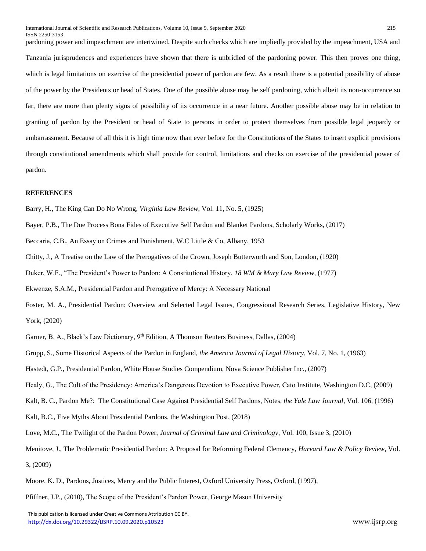pardoning power and impeachment are intertwined. Despite such checks which are impliedly provided by the impeachment, USA and Tanzania jurisprudences and experiences have shown that there is unbridled of the pardoning power. This then proves one thing, which is legal limitations on exercise of the presidential power of pardon are few. As a result there is a potential possibility of abuse of the power by the Presidents or head of States. One of the possible abuse may be self pardoning, which albeit its non-occurrence so far, there are more than plenty signs of possibility of its occurrence in a near future. Another possible abuse may be in relation to granting of pardon by the President or head of State to persons in order to protect themselves from possible legal jeopardy or embarrassment. Because of all this it is high time now than ever before for the Constitutions of the States to insert explicit provisions through constitutional amendments which shall provide for control, limitations and checks on exercise of the presidential power of pardon.

#### **REFERENCES**

Barry, H., The King Can Do No Wrong, *Virginia Law Review*, Vol. 11, No. 5, (1925)

Bayer, P.B., The Due Process Bona Fides of Executive Self Pardon and Blanket Pardons, Scholarly Works, (2017)

Beccaria, C.B., An Essay on Crimes and Punishment, W.C Little & Co, Albany, 1953

Chitty, J., A Treatise on the Law of the Prerogatives of the Crown, Joseph Butterworth and Son, London, (1920)

Duker, W.F., "The President's Power to Pardon: A Constitutional History, *18 WM & Mary Law Review,* (1977)

Ekwenze, S.A.M., Presidential Pardon and Prerogative of Mercy: A Necessary National

Foster, M. A., Presidential Pardon: Overview and Selected Legal Issues, Congressional Research Series, Legislative History, New York, (2020)

Garner, B. A., Black's Law Dictionary, 9<sup>th</sup> Edition, A Thomson Reuters Business, Dallas, (2004)

Grupp, S., Some Historical Aspects of the Pardon in England, *the America Journal of Legal History,* Vol. 7, No. 1, (1963)

Hastedt, G.P., Presidential Pardon, White House Studies Compendium, Nova Science Publisher Inc., (2007)

Healy, G., The Cult of the Presidency: America's Dangerous Devotion to Executive Power, Cato Institute, Washington D.C, (2009)

Kalt, B. C., Pardon Me?: The Constitutional Case Against Presidential Self Pardons, Notes, *the Yale Law Journal,* Vol. 106, (1996)

Kalt, B.C., Five Myths About Presidential Pardons, the Washington Post, (2018)

Love, M.C., The Twilight of the Pardon Power, *Journal of Criminal Law and Criminology*, Vol. 100, Issue 3, (2010)

Menitove, J., The Problematic Presidential Pardon: A Proposal for Reforming Federal Clemency, *Harvard Law & Policy Review*, Vol. 3, (2009)

Moore, K. D., Pardons, Justices, Mercy and the Public Interest, Oxford University Press, Oxford, (1997),

Pfiffner, J.P., (2010), The Scope of the President's Pardon Power, George Mason University